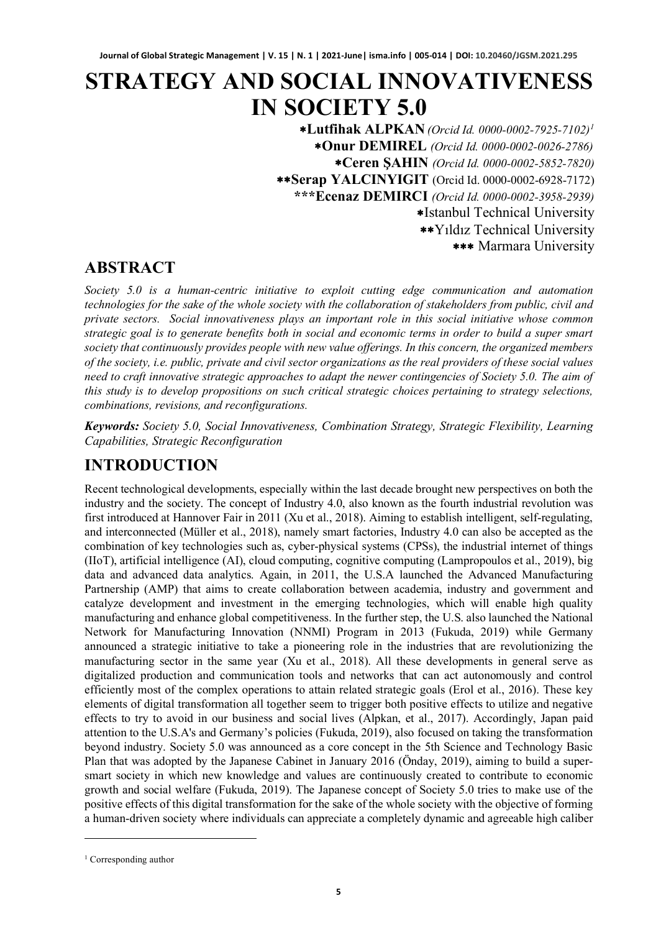# **STRATEGY AND SOCIAL INNOVATIVENESS IN SOCIETY 5.0**

∗**Lutfihak ALPKAN** *(Orcid Id. 0000-0002-7925-7102)[1](#page-0-0)* ∗**Onur DEMIREL** *(Orcid Id. 0000-0002-0026-2786)* ∗**Ceren ŞAHIN** *(Orcid Id. 0000-0002-5852-7820)* ∗∗**Serap YALCINYIGIT** (Orcid Id. 0000-0002-6928-7172) **\*\*\*Ecenaz DEMIRCI** *(Orcid Id. 0000-0002-3958-2939)* ∗Istanbul Technical University ∗∗Yıldız Technical University ∗∗∗ Marmara University

### **ABSTRACT**

*Society 5.0 is a human-centric initiative to exploit cutting edge communication and automation technologies for the sake of the whole society with the collaboration of stakeholders from public, civil and private sectors. Social innovativeness plays an important role in this social initiative whose common strategic goal is to generate benefits both in social and economic terms in order to build a super smart society that continuously provides people with new value offerings. In this concern, the organized members of the society, i.e. public, private and civil sector organizations as the real providers of these social values need to craft innovative strategic approaches to adapt the newer contingencies of Society 5.0. The aim of this study is to develop propositions on such critical strategic choices pertaining to strategy selections, combinations, revisions, and reconfigurations.*

*Keywords: Society 5.0, Social Innovativeness, Combination Strategy, Strategic Flexibility, Learning Capabilities, Strategic Reconfiguration*

### **INTRODUCTION**

Recent technological developments, especially within the last decade brought new perspectives on both the industry and the society. The concept of Industry 4.0, also known as the fourth industrial revolution was first introduced at Hannover Fair in 2011 (Xu et al., 2018). Aiming to establish intelligent, self-regulating, and interconnected (Müller et al., 2018), namely smart factories, Industry 4.0 can also be accepted as the combination of key technologies such as, cyber-physical systems (CPSs), the industrial internet of things (IIoT), artificial intelligence (AI), cloud computing, cognitive computing (Lampropoulos et al., 2019), big data and advanced data analytics. Again, in 2011, the U.S.A launched the Advanced Manufacturing Partnership (AMP) that aims to create collaboration between academia, industry and government and catalyze development and investment in the emerging technologies, which will enable high quality manufacturing and enhance global competitiveness. In the further step, the U.S. also launched the National Network for Manufacturing Innovation (NNMI) Program in 2013 (Fukuda, 2019) while Germany announced a strategic initiative to take a pioneering role in the industries that are revolutionizing the manufacturing sector in the same year (Xu et al., 2018). All these developments in general serve as digitalized production and communication tools and networks that can act autonomously and control efficiently most of the complex operations to attain related strategic goals (Erol et al., 2016). These key elements of digital transformation all together seem to trigger both positive effects to utilize and negative effects to try to avoid in our business and social lives (Alpkan, et al., 2017). Accordingly, Japan paid attention to the U.S.A's and Germany's policies (Fukuda, 2019), also focused on taking the transformation beyond industry. Society 5.0 was announced as a core concept in the 5th Science and Technology Basic Plan that was adopted by the Japanese Cabinet in January 2016 (Önday, 2019), aiming to build a supersmart society in which new knowledge and values are continuously created to contribute to economic growth and social welfare (Fukuda, 2019). The Japanese concept of Society 5.0 tries to make use of the positive effects of this digital transformation for the sake of the whole society with the objective of forming a human-driven society where individuals can appreciate a completely dynamic and agreeable high caliber

<span id="page-0-0"></span><sup>&</sup>lt;sup>1</sup> Corresponding author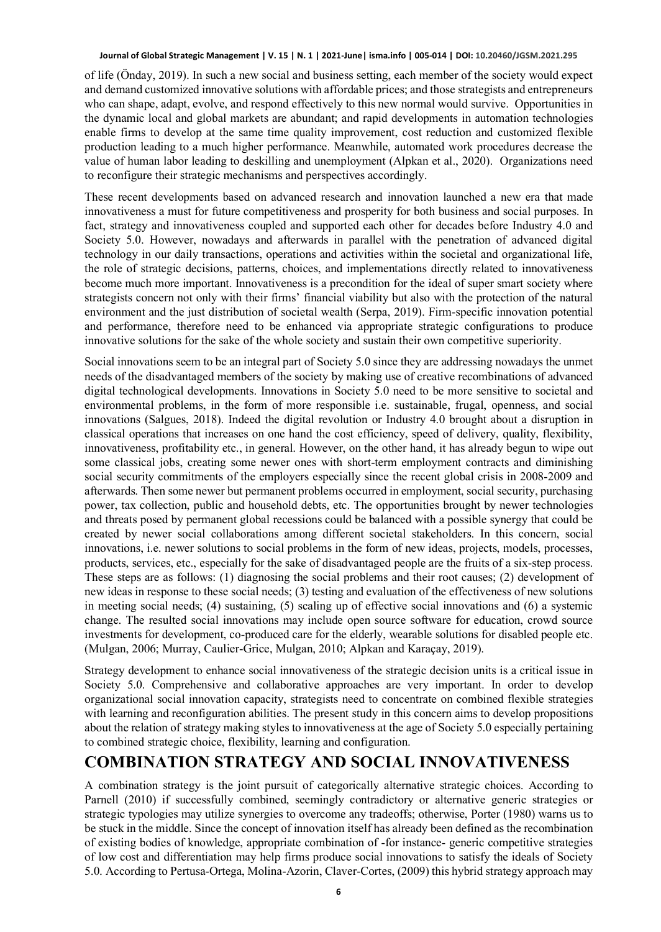of life (Önday, 2019). In such a new social and business setting, each member of the society would expect and demand customized innovative solutions with affordable prices; and those strategists and entrepreneurs who can shape, adapt, evolve, and respond effectively to this new normal would survive. Opportunities in the dynamic local and global markets are abundant; and rapid developments in automation technologies enable firms to develop at the same time quality improvement, cost reduction and customized flexible production leading to a much higher performance. Meanwhile, automated work procedures decrease the value of human labor leading to deskilling and unemployment (Alpkan et al., 2020). Organizations need to reconfigure their strategic mechanisms and perspectives accordingly.

These recent developments based on advanced research and innovation launched a new era that made innovativeness a must for future competitiveness and prosperity for both business and social purposes. In fact, strategy and innovativeness coupled and supported each other for decades before Industry 4.0 and Society 5.0. However, nowadays and afterwards in parallel with the penetration of advanced digital technology in our daily transactions, operations and activities within the societal and organizational life, the role of strategic decisions, patterns, choices, and implementations directly related to innovativeness become much more important. Innovativeness is a precondition for the ideal of super smart society where strategists concern not only with their firms' financial viability but also with the protection of the natural environment and the just distribution of societal wealth (Serpa, 2019). Firm-specific innovation potential and performance, therefore need to be enhanced via appropriate strategic configurations to produce innovative solutions for the sake of the whole society and sustain their own competitive superiority.

Social innovations seem to be an integral part of Society 5.0 since they are addressing nowadays the unmet needs of the disadvantaged members of the society by making use of creative recombinations of advanced digital technological developments. Innovations in Society 5.0 need to be more sensitive to societal and environmental problems, in the form of more responsible i.e. sustainable, frugal, openness, and social innovations (Salgues, 2018). Indeed the digital revolution or Industry 4.0 brought about a disruption in classical operations that increases on one hand the cost efficiency, speed of delivery, quality, flexibility, innovativeness, profitability etc., in general. However, on the other hand, it has already begun to wipe out some classical jobs, creating some newer ones with short-term employment contracts and diminishing social security commitments of the employers especially since the recent global crisis in 2008-2009 and afterwards. Then some newer but permanent problems occurred in employment, social security, purchasing power, tax collection, public and household debts, etc. The opportunities brought by newer technologies and threats posed by permanent global recessions could be balanced with a possible synergy that could be created by newer social collaborations among different societal stakeholders. In this concern, social innovations, i.e. newer solutions to social problems in the form of new ideas, projects, models, processes, products, services, etc., especially for the sake of disadvantaged people are the fruits of a six-step process. These steps are as follows: (1) diagnosing the social problems and their root causes; (2) development of new ideas in response to these social needs; (3) testing and evaluation of the effectiveness of new solutions in meeting social needs; (4) sustaining, (5) scaling up of effective social innovations and (6) a systemic change. The resulted social innovations may include open source software for education, crowd source investments for development, co-produced care for the elderly, wearable solutions for disabled people etc. (Mulgan, 2006; Murray, Caulier-Grice, Mulgan, 2010; Alpkan and Karaçay, 2019).

Strategy development to enhance social innovativeness of the strategic decision units is a critical issue in Society 5.0. Comprehensive and collaborative approaches are very important. In order to develop organizational social innovation capacity, strategists need to concentrate on combined flexible strategies with learning and reconfiguration abilities. The present study in this concern aims to develop propositions about the relation of strategy making styles to innovativeness at the age of Society 5.0 especially pertaining to combined strategic choice, flexibility, learning and configuration.

### **COMBINATION STRATEGY AND SOCIAL INNOVATIVENESS**

A combination strategy is the joint pursuit of categorically alternative strategic choices. According to Parnell (2010) if successfully combined, seemingly contradictory or alternative generic strategies or strategic typologies may utilize synergies to overcome any tradeoffs; otherwise, Porter (1980) warns us to be stuck in the middle. Since the concept of innovation itself has already been defined as the recombination of existing bodies of knowledge, appropriate combination of -for instance- generic competitive strategies of low cost and differentiation may help firms produce social innovations to satisfy the ideals of Society 5.0. According to Pertusa-Ortega, Molina-Azorin, Claver-Cortes, (2009) this hybrid strategy approach may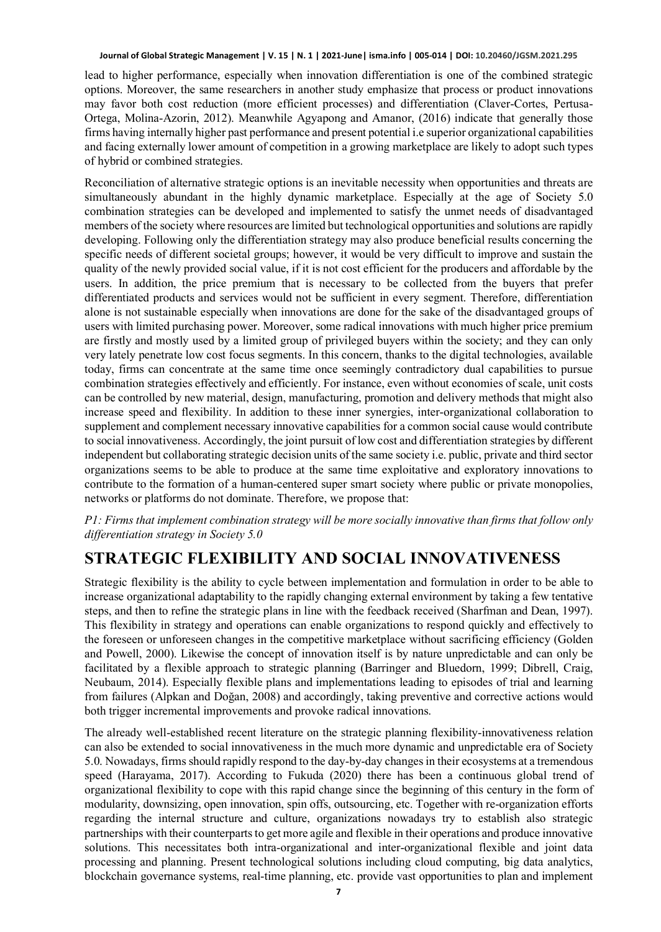lead to higher performance, especially when innovation differentiation is one of the combined strategic options. Moreover, the same researchers in another study emphasize that process or product innovations may favor both cost reduction (more efficient processes) and differentiation (Claver-Cortes, Pertusa-Ortega, Molina-Azorin, 2012). Meanwhile Agyapong and Amanor, (2016) indicate that generally those firms having internally higher past performance and present potential i.e superior organizational capabilities and facing externally lower amount of competition in a growing marketplace are likely to adopt such types of hybrid or combined strategies.

Reconciliation of alternative strategic options is an inevitable necessity when opportunities and threats are simultaneously abundant in the highly dynamic marketplace. Especially at the age of Society 5.0 combination strategies can be developed and implemented to satisfy the unmet needs of disadvantaged members of the society where resources are limited but technological opportunities and solutions are rapidly developing. Following only the differentiation strategy may also produce beneficial results concerning the specific needs of different societal groups; however, it would be very difficult to improve and sustain the quality of the newly provided social value, if it is not cost efficient for the producers and affordable by the users. In addition, the price premium that is necessary to be collected from the buyers that prefer differentiated products and services would not be sufficient in every segment. Therefore, differentiation alone is not sustainable especially when innovations are done for the sake of the disadvantaged groups of users with limited purchasing power. Moreover, some radical innovations with much higher price premium are firstly and mostly used by a limited group of privileged buyers within the society; and they can only very lately penetrate low cost focus segments. In this concern, thanks to the digital technologies, available today, firms can concentrate at the same time once seemingly contradictory dual capabilities to pursue combination strategies effectively and efficiently. For instance, even without economies of scale, unit costs can be controlled by new material, design, manufacturing, promotion and delivery methods that might also increase speed and flexibility. In addition to these inner synergies, inter-organizational collaboration to supplement and complement necessary innovative capabilities for a common social cause would contribute to social innovativeness. Accordingly, the joint pursuit of low cost and differentiation strategies by different independent but collaborating strategic decision units of the same society i.e. public, private and third sector organizations seems to be able to produce at the same time exploitative and exploratory innovations to contribute to the formation of a human-centered super smart society where public or private monopolies, networks or platforms do not dominate. Therefore, we propose that:

#### *P1: Firms that implement combination strategy will be more socially innovative than firms that follow only differentiation strategy in Society 5.0*

## **STRATEGIC FLEXIBILITY AND SOCIAL INNOVATIVENESS**

Strategic flexibility is the ability to cycle between implementation and formulation in order to be able to increase organizational adaptability to the rapidly changing external environment by taking a few tentative steps, and then to refine the strategic plans in line with the feedback received (Sharfman and Dean, 1997). This flexibility in strategy and operations can enable organizations to respond quickly and effectively to the foreseen or unforeseen changes in the competitive marketplace without sacrificing efficiency (Golden and Powell, 2000). Likewise the concept of innovation itself is by nature unpredictable and can only be facilitated by a flexible approach to strategic planning (Barringer and Bluedorn, 1999; Dibrell, Craig, Neubaum, 2014). Especially flexible plans and implementations leading to episodes of trial and learning from failures (Alpkan and Doğan, 2008) and accordingly, taking preventive and corrective actions would both trigger incremental improvements and provoke radical innovations.

The already well-established recent literature on the strategic planning flexibility-innovativeness relation can also be extended to social innovativeness in the much more dynamic and unpredictable era of Society 5.0. Nowadays, firms should rapidly respond to the day-by-day changes in their ecosystems at a tremendous speed (Harayama, 2017). According to Fukuda (2020) there has been a continuous global trend of organizational flexibility to cope with this rapid change since the beginning of this century in the form of modularity, downsizing, open innovation, spin offs, outsourcing, etc. Together with re-organization efforts regarding the internal structure and culture, organizations nowadays try to establish also strategic partnerships with their counterparts to get more agile and flexible in their operations and produce innovative solutions. This necessitates both intra-organizational and inter-organizational flexible and joint data processing and planning. Present technological solutions including cloud computing, big data analytics, blockchain governance systems, real-time planning, etc. provide vast opportunities to plan and implement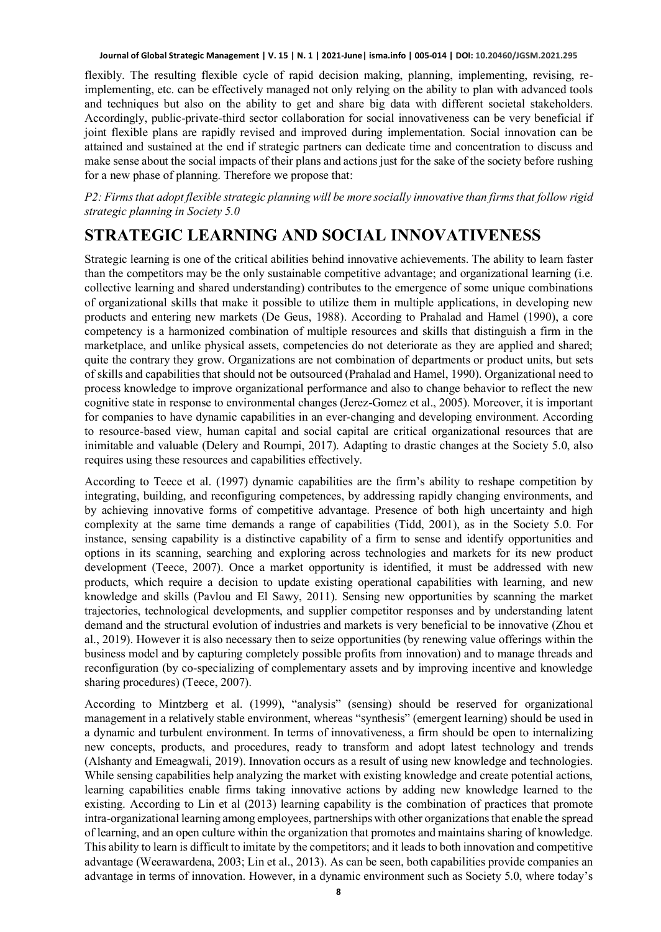flexibly. The resulting flexible cycle of rapid decision making, planning, implementing, revising, reimplementing, etc. can be effectively managed not only relying on the ability to plan with advanced tools and techniques but also on the ability to get and share big data with different societal stakeholders. Accordingly, public-private-third sector collaboration for social innovativeness can be very beneficial if joint flexible plans are rapidly revised and improved during implementation. Social innovation can be attained and sustained at the end if strategic partners can dedicate time and concentration to discuss and make sense about the social impacts of their plans and actions just for the sake of the society before rushing for a new phase of planning. Therefore we propose that:

*P2: Firms that adopt flexible strategic planning will be more socially innovative than firms that follow rigid strategic planning in Society 5.0*

# **STRATEGIC LEARNING AND SOCIAL INNOVATIVENESS**

Strategic learning is one of the critical abilities behind innovative achievements. The ability to learn faster than the competitors may be the only sustainable competitive advantage; and organizational learning (i.e. collective learning and shared understanding) contributes to the emergence of some unique combinations of organizational skills that make it possible to utilize them in multiple applications, in developing new products and entering new markets (De Geus, 1988). According to Prahalad and Hamel (1990), a core competency is a harmonized combination of multiple resources and skills that distinguish a firm in the marketplace, and unlike physical assets, competencies do not deteriorate as they are applied and shared; quite the contrary they grow. Organizations are not combination of departments or product units, but sets of skills and capabilities that should not be outsourced (Prahalad and Hamel, 1990). Organizational need to process knowledge to improve organizational performance and also to change behavior to reflect the new cognitive state in response to environmental changes (Jerez-Gomez et al., 2005). Moreover, it is important for companies to have dynamic capabilities in an ever-changing and developing environment. According to resource-based view, human capital and social capital are critical organizational resources that are inimitable and valuable (Delery and Roumpi, 2017). Adapting to drastic changes at the Society 5.0, also requires using these resources and capabilities effectively.

According to Teece et al. (1997) dynamic capabilities are the firm's ability to reshape competition by integrating, building, and reconfiguring competences, by addressing rapidly changing environments, and by achieving innovative forms of competitive advantage. Presence of both high uncertainty and high complexity at the same time demands a range of capabilities (Tidd, 2001), as in the Society 5.0. For instance, sensing capability is a distinctive capability of a firm to sense and identify opportunities and options in its scanning, searching and exploring across technologies and markets for its new product development (Teece, 2007). Once a market opportunity is identified, it must be addressed with new products, which require a decision to update existing operational capabilities with learning, and new knowledge and skills (Pavlou and El Sawy, 2011). Sensing new opportunities by scanning the market trajectories, technological developments, and supplier competitor responses and by understanding latent demand and the structural evolution of industries and markets is very beneficial to be innovative (Zhou et al., 2019). However it is also necessary then to seize opportunities (by renewing value offerings within the business model and by capturing completely possible profits from innovation) and to manage threads and reconfiguration (by co-specializing of complementary assets and by improving incentive and knowledge sharing procedures) (Teece, 2007).

According to Mintzberg et al. (1999), "analysis" (sensing) should be reserved for organizational management in a relatively stable environment, whereas "synthesis" (emergent learning) should be used in a dynamic and turbulent environment. In terms of innovativeness, a firm should be open to internalizing new concepts, products, and procedures, ready to transform and adopt latest technology and trends (Alshanty and Emeagwali, 2019). Innovation occurs as a result of using new knowledge and technologies. While sensing capabilities help analyzing the market with existing knowledge and create potential actions, learning capabilities enable firms taking innovative actions by adding new knowledge learned to the existing. According to Lin et al (2013) learning capability is the combination of practices that promote intra-organizational learning among employees, partnerships with other organizations that enable the spread of learning, and an open culture within the organization that promotes and maintains sharing of knowledge. This ability to learn is difficult to imitate by the competitors; and it leads to both innovation and competitive advantage (Weerawardena, 2003; Lin et al., 2013). As can be seen, both capabilities provide companies an advantage in terms of innovation. However, in a dynamic environment such as Society 5.0, where today's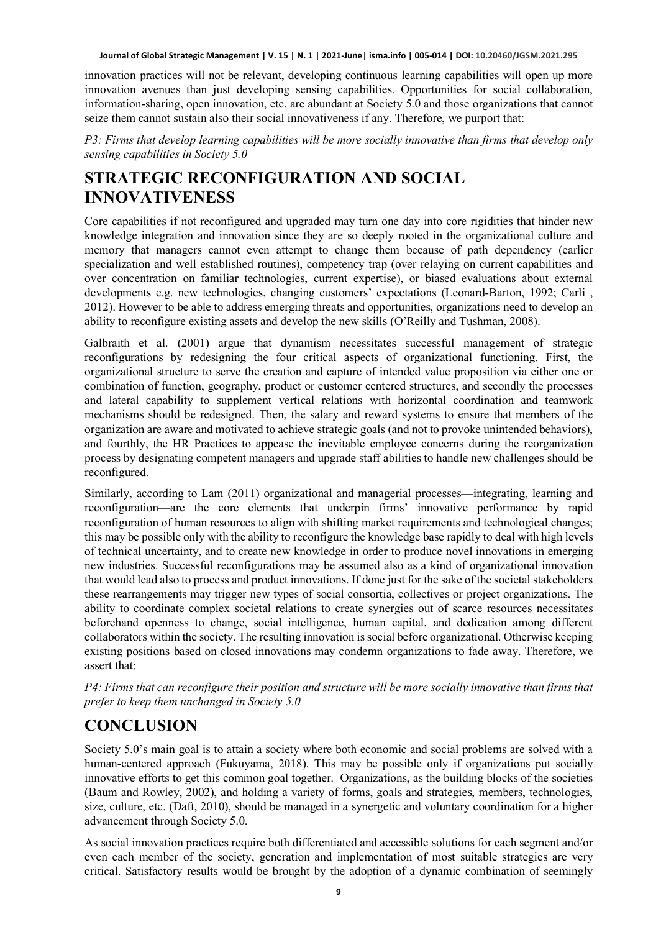innovation practices will not be relevant, developing continuous learning capabilities will open up more innovation avenues than just developing sensing capabilities. Opportunities for social collaboration, information-sharing, open innovation, etc. are abundant at Society 5.0 and those organizations that cannot seize them cannot sustain also their social innovativeness if any. Therefore, we purport that:

*P3: Firms that develop learning capabilities will be more socially innovative than firms that develop only sensing capabilities in Society 5.0*

# **STRATEGIC RECONFIGURATION AND SOCIAL INNOVATIVENESS**

Core capabilities if not reconfigured and upgraded may turn one day into core rigidities that hinder new knowledge integration and innovation since they are so deeply rooted in the organizational culture and memory that managers cannot even attempt to change them because of path dependency (earlier specialization and well established routines), competency trap (over relaying on current capabilities and over concentration on familiar technologies, current expertise), or biased evaluations about external developments e.g. new technologies, changing customers' expectations (Leonard-Barton, 1992; Carli , 2012). However to be able to address emerging threats and opportunities, organizations need to develop an ability to reconfigure existing assets and develop the new skills (O'Reilly and Tushman, 2008).

Galbraith et al. (2001) argue that dynamism necessitates successful management of strategic reconfigurations by redesigning the four critical aspects of organizational functioning. First, the organizational structure to serve the creation and capture of intended value proposition via either one or combination of function, geography, product or customer centered structures, and secondly the processes and lateral capability to supplement vertical relations with horizontal coordination and teamwork mechanisms should be redesigned. Then, the salary and reward systems to ensure that members of the organization are aware and motivated to achieve strategic goals (and not to provoke unintended behaviors), and fourthly, the HR Practices to appease the inevitable employee concerns during the reorganization process by designating competent managers and upgrade staff abilities to handle new challenges should be reconfigured.

Similarly, according to Lam (2011) organizational and managerial processes—integrating, learning and reconfiguration—are the core elements that underpin firms' innovative performance by rapid reconfiguration of human resources to align with shifting market requirements and technological changes; this may be possible only with the ability to reconfigure the knowledge base rapidly to deal with high levels of technical uncertainty, and to create new knowledge in order to produce novel innovations in emerging new industries. Successful reconfigurations may be assumed also as a kind of organizational innovation that would lead also to process and product innovations. If done just for the sake of the societal stakeholders these rearrangements may trigger new types of social consortia, collectives or project organizations. The ability to coordinate complex societal relations to create synergies out of scarce resources necessitates beforehand openness to change, social intelligence, human capital, and dedication among different collaborators within the society. The resulting innovation is social before organizational. Otherwise keeping existing positions based on closed innovations may condemn organizations to fade away. Therefore, we assert that:

*P4: Firms that can reconfigure their position and structure will be more socially innovative than firms that prefer to keep them unchanged in Society 5.0*

# **CONCLUSION**

Society 5.0's main goal is to attain a society where both economic and social problems are solved with a human-centered approach (Fukuyama, 2018). This may be possible only if organizations put socially innovative efforts to get this common goal together. Organizations, as the building blocks of the societies (Baum and Rowley, 2002), and holding a variety of forms, goals and strategies, members, technologies, size, culture, etc. (Daft, 2010), should be managed in a synergetic and voluntary coordination for a higher advancement through Society 5.0.

As social innovation practices require both differentiated and accessible solutions for each segment and/or even each member of the society, generation and implementation of most suitable strategies are very critical. Satisfactory results would be brought by the adoption of a dynamic combination of seemingly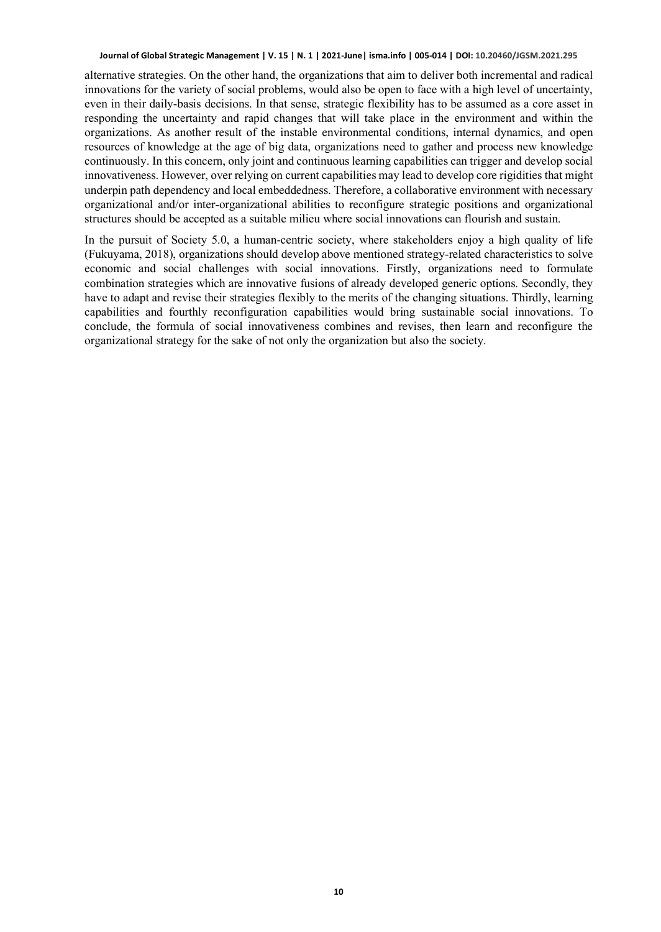alternative strategies. On the other hand, the organizations that aim to deliver both incremental and radical innovations for the variety of social problems, would also be open to face with a high level of uncertainty, even in their daily-basis decisions. In that sense, strategic flexibility has to be assumed as a core asset in responding the uncertainty and rapid changes that will take place in the environment and within the organizations. As another result of the instable environmental conditions, internal dynamics, and open resources of knowledge at the age of big data, organizations need to gather and process new knowledge continuously. In this concern, only joint and continuous learning capabilities can trigger and develop social innovativeness. However, over relying on current capabilities may lead to develop core rigidities that might underpin path dependency and local embeddedness. Therefore, a collaborative environment with necessary organizational and/or inter-organizational abilities to reconfigure strategic positions and organizational structures should be accepted as a suitable milieu where social innovations can flourish and sustain.

In the pursuit of Society 5.0, a human-centric society, where stakeholders enjoy a high quality of life (Fukuyama, 2018), organizations should develop above mentioned strategy-related characteristics to solve economic and social challenges with social innovations. Firstly, organizations need to formulate combination strategies which are innovative fusions of already developed generic options. Secondly, they have to adapt and revise their strategies flexibly to the merits of the changing situations. Thirdly, learning capabilities and fourthly reconfiguration capabilities would bring sustainable social innovations. To conclude, the formula of social innovativeness combines and revises, then learn and reconfigure the organizational strategy for the sake of not only the organization but also the society.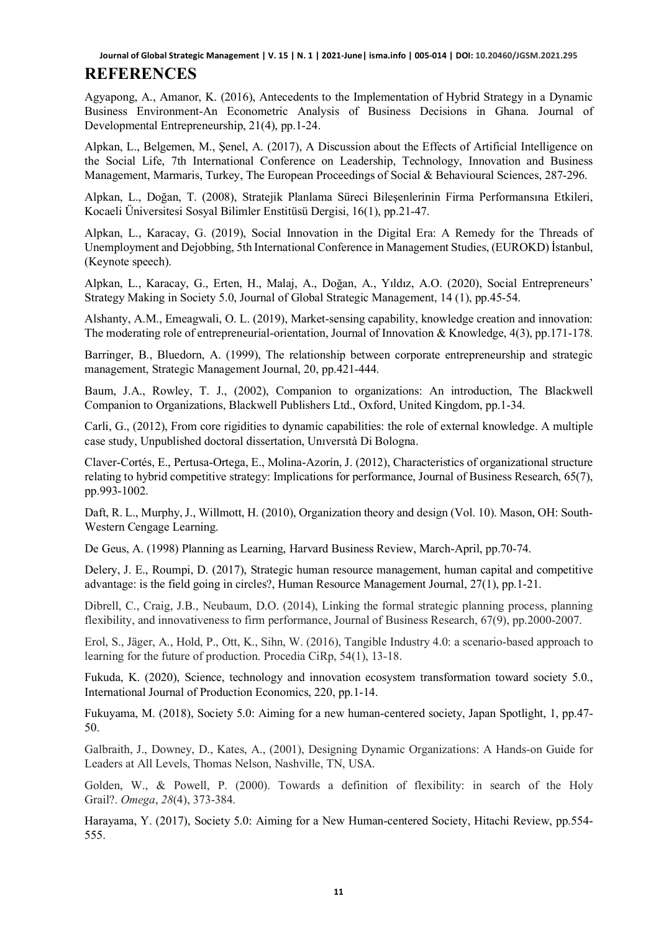#### **REFERENCES**

Agyapong, A., Amanor, K. (2016), Antecedents to the Implementation of Hybrid Strategy in a Dynamic Business Environment-An Econometric Analysis of Business Decisions in Ghana. Journal of Developmental Entrepreneurship, 21(4), pp.1-24.

Alpkan, L., Belgemen, M., Şenel, A. (2017), A Discussion about the Effects of Artificial Intelligence on the Social Life, 7th International Conference on Leadership, Technology, Innovation and Business Management, Marmaris, Turkey, The European Proceedings of Social & Behavioural Sciences, 287-296.

Alpkan, L., Doğan, T. (2008), Stratejik Planlama Süreci Bileşenlerinin Firma Performansına Etkileri, Kocaeli Üniversitesi Sosyal Bilimler Enstitüsü Dergisi, 16(1), pp.21-47.

Alpkan, L., Karacay, G. (2019), Social Innovation in the Digital Era: A Remedy for the Threads of Unemployment and Dejobbing, 5th International Conference in Management Studies, (EUROKD) İstanbul, (Keynote speech).

Alpkan, L., Karacay, G., Erten, H., Malaj, A., Doğan, A., Yıldız, A.O. (2020), Social Entrepreneurs' Strategy Making in Society 5.0, Journal of Global Strategic Management, 14 (1), pp.45-54.

Alshanty, A.M., Emeagwali, O. L. (2019), Market-sensing capability, knowledge creation and innovation: The moderating role of entrepreneurial-orientation, Journal of Innovation & Knowledge, 4(3), pp.171-178.

Barringer, B., Bluedorn, A. (1999), The relationship between corporate entrepreneurship and strategic management, Strategic Management Journal, 20, pp.421-444.

Baum, J.A., Rowley, T. J., (2002), Companion to organizations: An introduction, The Blackwell Companion to Organizations, Blackwell Publishers Ltd., Oxford, United Kingdom, pp.1-34.

Carli, G., (2012), From core rigidities to dynamic capabilities: the role of external knowledge. A multiple case study, Unpublished doctoral dissertation, Unıversıtà Di Bologna.

Claver-Cortés, E., Pertusa-Ortega, E., Molina-Azorín, J. (2012), Characteristics of organizational structure relating to hybrid competitive strategy: Implications for performance, Journal of Business Research, 65(7), pp.993-1002.

Daft, R. L., Murphy, J., Willmott, H. (2010), Organization theory and design (Vol. 10). Mason, OH: South-Western Cengage Learning.

De Geus, A. (1998) Planning as Learning, Harvard Business Review, March-April, pp.70-74.

Delery, J. E., Roumpi, D. (2017), Strategic human resource management, human capital and competitive advantage: is the field going in circles?, Human Resource Management Journal, 27(1), pp.1-21.

Dibrell, C., Craig, J.B., Neubaum, D.O. (2014), Linking the formal strategic planning process, planning flexibility, and innovativeness to firm performance, Journal of Business Research, 67(9), pp.2000-2007.

Erol, S., Jäger, A., Hold, P., Ott, K., Sihn, W. (2016), Tangible Industry 4.0: a scenario-based approach to learning for the future of production. Procedia CiRp, 54(1), 13-18.

Fukuda, K. (2020), Science, technology and innovation ecosystem transformation toward society 5.0., International Journal of Production Economics, 220, pp.1-14.

Fukuyama, M. (2018), Society 5.0: Aiming for a new human-centered society, Japan Spotlight, 1, pp.47- 50.

Galbraith, J., Downey, D., Kates, A., (2001), Designing Dynamic Organizations: A Hands-on Guide for Leaders at All Levels, Thomas Nelson, Nashville, TN, USA.

Golden, W., & Powell, P. (2000). Towards a definition of flexibility: in search of the Holy Grail?. *Omega*, *28*(4), 373-384.

Harayama, Y. (2017), Society 5.0: Aiming for a New Human-centered Society, Hitachi Review, pp.554- 555.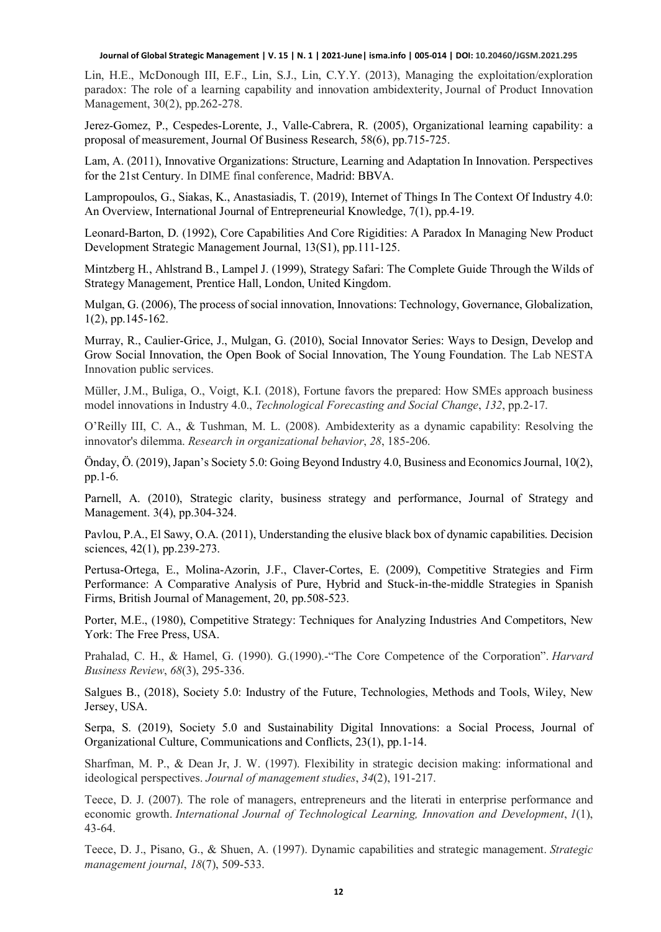Lin, H.E., McDonough III, E.F., Lin, S.J., Lin, C.Y.Y. (2013), Managing the exploitation/exploration paradox: The role of a learning capability and innovation ambidexterity, Journal of Product Innovation Management, 30(2), pp.262-278.

Jerez-Gomez, P., Cespedes-Lorente, J., Valle-Cabrera, R. (2005), Organizational learning capability: a proposal of measurement, Journal Of Business Research, 58(6), pp.715-725.

Lam, A. (2011), Innovative Organizations: Structure, Learning and Adaptation In Innovation. Perspectives for the 21st Century. In DIME final conference, Madrid: BBVA.

Lampropoulos, G., Siakas, K., Anastasiadis, T. (2019), Internet of Things In The Context Of Industry 4.0: An Overview, International Journal of Entrepreneurial Knowledge, 7(1), pp.4-19.

Leonard-Barton, D. (1992), Core Capabilities And Core Rigidities: A Paradox In Managing New Product Development Strategic Management Journal, 13(S1), pp.111-125.

Mintzberg H., Ahlstrand B., Lampel J. (1999), Strategy Safari: The Complete Guide Through the Wilds of Strategy Management, Prentice Hall, London, United Kingdom.

Mulgan, G. (2006), The process of social innovation, Innovations: Technology, Governance, Globalization, 1(2), pp.145-162.

Murray, R., Caulier-Grice, J., Mulgan, G. (2010), Social Innovator Series: Ways to Design, Develop and Grow Social Innovation, the Open Book of Social Innovation, The Young Foundation. The Lab NESTA Innovation public services.

Müller, J.M., Buliga, O., Voigt, K.I. (2018), Fortune favors the prepared: How SMEs approach business model innovations in Industry 4.0., *Technological Forecasting and Social Change*, *132*, pp.2-17.

O'Reilly III, C. A., & Tushman, M. L. (2008). Ambidexterity as a dynamic capability: Resolving the innovator's dilemma. *Research in organizational behavior*, *28*, 185-206.

Önday, Ö. (2019), Japan's Society 5.0: Going Beyond Industry 4.0, Business and Economics Journal, 10(2), pp.1-6.

Parnell, A. (2010), Strategic clarity, business strategy and performance, Journal of Strategy and Management. 3(4), pp.304-324.

Pavlou, P.A., El Sawy, O.A. (2011), Understanding the elusive black box of dynamic capabilities. Decision sciences, 42(1), pp.239-273.

Pertusa-Ortega, E., Molina-Azorin, J.F., Claver-Cortes, E. (2009), Competitive Strategies and Firm Performance: A Comparative Analysis of Pure, Hybrid and Stuck-in-the-middle Strategies in Spanish Firms, British Journal of Management, 20, pp.508-523.

Porter, M.E., (1980), Competitive Strategy: Techniques for Analyzing Industries And Competitors, New York: The Free Press, USA.

Prahalad, C. H., & Hamel, G. (1990). G. (1990).<sup>1</sup> The Core Competence of the Corporation". *Harvard Business Review*, *68*(3), 295-336.

Salgues B., (2018), Society 5.0: Industry of the Future, Technologies, Methods and Tools, Wiley, New Jersey, USA.

Serpa, S. (2019), Society 5.0 and Sustainability Digital Innovations: a Social Process, Journal of Organizational Culture, Communications and Conflicts, 23(1), pp.1-14.

Sharfman, M. P., & Dean Jr, J. W. (1997). Flexibility in strategic decision making: informational and ideological perspectives. *Journal of management studies*, *34*(2), 191-217.

Teece, D. J. (2007). The role of managers, entrepreneurs and the literati in enterprise performance and economic growth. *International Journal of Technological Learning, Innovation and Development*, *1*(1), 43-64.

Teece, D. J., Pisano, G., & Shuen, A. (1997). Dynamic capabilities and strategic management. *Strategic management journal*, *18*(7), 509-533.